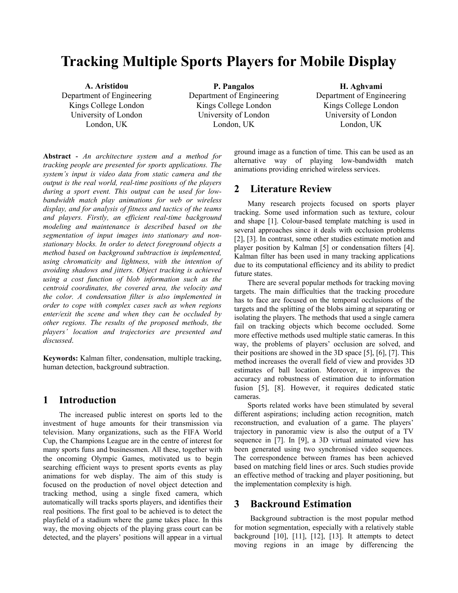# **Tracking Multiple Sports Players for Mobile Display**

**A. Aristidou**  Department of Engineering Kings College London University of London London, UK

**P. Pangalos**  Department of Engineering Kings College London University of London London, UK

**H. Aghvami**  Department of Engineering Kings College London University of London London, UK

**Abstract** *- An architecture system and a method for tracking people are presented for sports applications. The system's input is video data from static camera and the output is the real world, real-time positions of the players during a sport event. This output can be used for lowbandwidth match play animations for web or wireless display, and for analysis of fitness and tactics of the teams and players. Firstly, an efficient real-time background modeling and maintenance is described based on the segmentation of input images into stationary and nonstationary blocks. In order to detect foreground objects a method based on background subtraction is implemented, using chromaticity and lightness, with the intention of avoiding shadows and jitters. Object tracking is achieved using a cost function of blob information such as the centroid coordinates, the covered area, the velocity and the color. A condensation filter is also implemented in order to cope with complex cases such as when regions enter/exit the scene and when they can be occluded by other regions. The results of the proposed methods, the players' location and trajectories are presented and discussed*.

**Keywords:** Kalman filter, condensation, multiple tracking, human detection, background subtraction.

# **1 Introduction**

 The increased public interest on sports led to the investment of huge amounts for their transmission via television. Many organizations, such as the FIFA World Cup, the Champions League are in the centre of interest for many sports funs and businessmen. All these, together with the oncoming Olympic Games, motivated us to begin searching efficient ways to present sports events as play animations for web display. The aim of this study is focused on the production of novel object detection and tracking method, using a single fixed camera, which automatically will tracks sports players, and identifies their real positions. The first goal to be achieved is to detect the playfield of a stadium where the game takes place. In this way, the moving objects of the playing grass court can be detected, and the players' positions will appear in a virtual

ground image as a function of time. This can be used as an alternative way of playing low-bandwidth match animations providing enriched wireless services.

# **2 Literature Review**

Many research projects focused on sports player tracking. Some used information such as texture, colour and shape [1]. Colour-based template matching is used in several approaches since it deals with occlusion problems [2], [3]. In contrast, some other studies estimate motion and player position by Kalman [5] or condensation filters [4]. Kalman filter has been used in many tracking applications due to its computational efficiency and its ability to predict future states.

There are several popular methods for tracking moving targets. The main difficulties that the tracking procedure has to face are focused on the temporal occlusions of the targets and the splitting of the blobs aiming at separating or isolating the players. The methods that used a single camera fail on tracking objects which become occluded. Some more effective methods used multiple static cameras. In this way, the problems of players' occlusion are solved, and their positions are showed in the 3D space [5], [6], [7]. This method increases the overall field of view and provides 3D estimates of ball location. Moreover, it improves the accuracy and robustness of estimation due to information fusion [5], [8]. However, it requires dedicated static cameras.

Sports related works have been stimulated by several different aspirations; including action recognition, match reconstruction, and evaluation of a game. The players' trajectory in panoramic view is also the output of a TV sequence in [7]. In [9], a 3D virtual animated view has been generated using two synchronised video sequences. The correspondence between frames has been achieved based on matching field lines or arcs. Such studies provide an effective method of tracking and player positioning, but the implementation complexity is high.

# **3 Backround Estimation**

 Background subtraction is the most popular method for motion segmentation, especially with a relatively stable background [10], [11], [12], [13]. It attempts to detect moving regions in an image by differencing the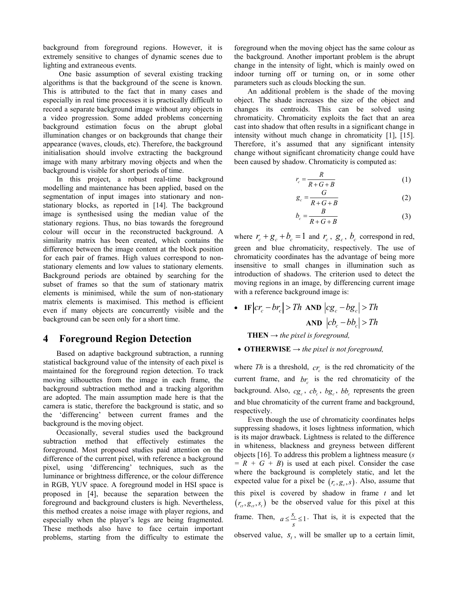background from foreground regions. However, it is extremely sensitive to changes of dynamic scenes due to lighting and extraneous events.

One basic assumption of several existing tracking algorithms is that the background of the scene is known. This is attributed to the fact that in many cases and especially in real time processes it is practically difficult to record a separate background image without any objects in a video progression. Some added problems concerning background estimation focus on the abrupt global illumination changes or on backgrounds that change their appearance (waves, clouds, etc). Therefore, the background initialisation should involve extracting the background image with many arbitrary moving objects and when the background is visible for short periods of time.

In this project, a robust real-time background modelling and maintenance has been applied, based on the segmentation of input images into stationary and nonstationary blocks, as reported in [14]. The background image is synthesised using the median value of the stationary regions. Thus, no bias towards the foreground colour will occur in the reconstructed background. A similarity matrix has been created, which contains the difference between the image content at the block position for each pair of frames. High values correspond to nonstationary elements and low values to stationary elements. Background periods are obtained by searching for the subset of frames so that the sum of stationary matrix elements is minimised, while the sum of non-stationary matrix elements is maximised. This method is efficient even if many objects are concurrently visible and the background can be seen only for a short time.

# **4 Foreground Region Detection**

Based on adaptive background subtraction, a running statistical background value of the intensity of each pixel is maintained for the foreground region detection. To track moving silhouettes from the image in each frame, the background subtraction method and a tracking algorithm are adopted. The main assumption made here is that the camera is static, therefore the background is static, and so the 'differencing' between current frames and the background is the moving object.

Occasionally, several studies used the background subtraction method that effectively estimates the foreground. Most proposed studies paid attention on the difference of the current pixel, with reference a background pixel, using 'differencing' techniques, such as the luminance or brightness difference, or the colour difference in RGB, YUV space. A foreground model in HSI space is proposed in [4], because the separation between the foreground and background clusters is high. Nevertheless, this method creates a noise image with player regions, and especially when the player's legs are being fragmented. These methods also have to face certain important problems, starting from the difficulty to estimate the

foreground when the moving object has the same colour as the background. Another important problem is the abrupt change in the intensity of light, which is mainly owed on indoor turning off or turning on, or in some other parameters such as clouds blocking the sun.

An additional problem is the shade of the moving object. The shade increases the size of the object and changes its centroids. This can be solved using chromaticity. Chromaticity exploits the fact that an area cast into shadow that often results in a significant change in intensity without much change in chromaticity [1], [15]. Therefore, it's assumed that any significant intensity change without significant chromaticity change could have been caused by shadow. Chromaticity is computed as:

$$
r_c = \frac{R}{R + G + B} \tag{1}
$$

$$
g_c = \frac{G}{R + G + B} \tag{2}
$$

$$
b_c = \frac{B}{R + G + B} \tag{3}
$$

where  $r_c + g_c + b_c = 1$  and  $r_c$ ,  $g_c$ ,  $b_c$  correspond in red, green and blue chromaticity, respectively. The use of chromaticity coordinates has the advantage of being more insensitive to small changes in illumination such as introduction of shadows. The criterion used to detect the moving regions in an image, by differencing current image with a reference background image is:

$$
\mathbf{F} \begin{vmatrix} \frac{\mathbf{m}}{\mathbf{h}} & \mathbf{F} \end{vmatrix} \begin{vmatrix} c r_c - b r_c \end{vmatrix} > Th \quad \text{AND} \quad \left| c g_c - b g_c \right| > Th
$$
\n
$$
\text{AND} \quad \left| c b_c - b b_c \right| > Th
$$

**THEN**  $\rightarrow$  *the pixel is foreground,* 

• **OTHERWISE →** *the pixel is not foreground,* 

where *Th* is a threshold,  $cr_c$  is the red chromaticity of the current frame, and  $br_c$  is the red chromaticity of the background. Also,  $cg_c$ ,  $cb_c$ ,  $bg_c$ ,  $bb_c$  represents the green and blue chromaticity of the current frame and background, respectively.

Even though the use of chromaticity coordinates helps suppressing shadows, it loses lightness information, which is its major drawback. Lightness is related to the difference in whiteness, blackness and greyness between different objects [16]. To address this problem a lightness measure (*s*   $= R + G + B$  is used at each pixel. Consider the case where the background is completely static, and let the expected value for a pixel be  $(r_c, g_c, s)$ . Also, assume that this pixel is covered by shadow in frame *t* and let  $(r_{ct}, g_{ct}, s_t)$  be the observed value for this pixel at this frame. Then,  $a \leq \frac{S_t}{s} \leq 1$ . That is, it is expected that the observed value,  $S_t$ , will be smaller up to a certain limit,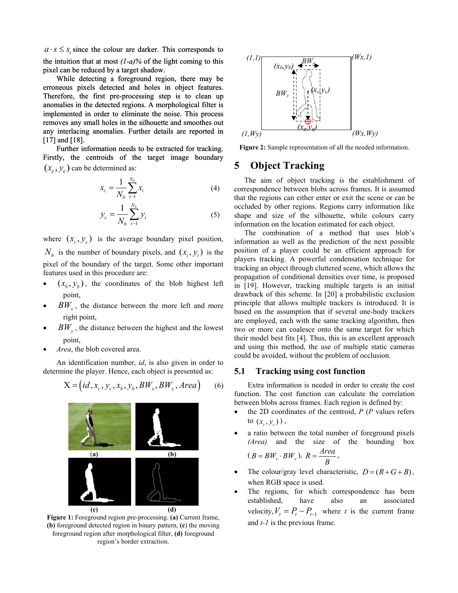$a \cdot s \leq s$ , since the colour are darker. This corresponds to the intuition that at most *(1-a)%* of the light coming to this pixel can be reduced by a target shadow.

While detecting a foreground region, there may be erroneous pixels detected and holes in object features. Therefore, the first pre-processing step is to clean up anomalies in the detected regions. A morphological filter is implemented in order to eliminate the noise. This process removes any small holes in the silhouette and smoothes out any interlacing anomalies. Further details are reported in [17] and [18]. anomalies in the detected regions. A morphological filter is<br>implemented in order to eliminate the noise. This process<br>removes any small holes in the silhouette and smoothes out<br>any interlacing anomalies. Further details a

Firstly, the centroids of the target image boundary  $(x_c, y_c)$  can be determined as:

$$
x_c = \frac{1}{N_b} \sum_{i=1}^{N_b} x_i
$$
 (4)

$$
y_c = \frac{1}{N_b} \sum_{i=1}^{N_b} y_i
$$
 (5)

where  $(x_c, y_c)$  is the average boundary pixel position,  $N_b$  is the number of boundary pixels, and  $(x_i, y_i)$  is the pixel of the boundary of the target. Some other important features used in this procedure are:

- $(x_h, y_h)$ , the coordinates of the blob highest left point,
- $BW_{x}$ , the distance between the more left and more right point,
- $BW_{v}$ , the distance between the highest and the lowest point,
- *Area*, the blob covered area.

An identification number, *id*, is also given in order to determine the player. Hence, each object is presented as:

$$
X = (id, x_c, y_c, x_b, y_b, BW_x, BW_y, Area)
$$
 (6)



**Figure 1:** Foreground region pre-processing. **(a)** Current frame, **(b)** foreground detected region in binary pattern, **(c**) the moving foreground region after morphological filter, **(d)** foreground region's border extraction.



**Figure 2:** Sample representation of all the needed information.

# **5 Object Tracking**

The aim of object tracking is the establishment of correspondence between blobs across frames. It is assumed that the regions can either enter or exit the scene or can be occluded by other regions. Regions carry information like shape and size of the silhouette, while colours carry information on the location estimated for each object.

The combination of a method that uses blob's information as well as the prediction of the next possible position of a player could be an efficient approach for players tracking. A powerful condensation technique for tracking an object through cluttered scene, which allows the propagation of conditional densities over time, is proposed in [19]. However, tracking multiple targets is an initial drawback of this scheme. In [20] a probabilistic exclusion principle that allows multiple trackers is introduced. It is based on the assumption that if several one-body trackers are employed, each with the same tracking algorithm, then two or more can coalesce onto the same target for which their model best fits [4]. Thus, this is an excellent approach and using this method, the use of multiple static cameras could be avoided, without the problem of occlusion.

#### **5.1 Tracking using cost function**

Extra information is needed in order to create the cost function. The cost function can calculate the correlation between blobs across frames. Each region is defined by:

- the 2D coordinates of the centroid, *P* (*P* values refers to  $(x_c, y_c)$ ,
- a ratio between the total number of foreground pixels *(Area)* and the size of the bounding box

$$
(B = BWx \cdot BWy), R = \frac{Area}{B},
$$

- The colour/gray level characteristic,  $D = (R + G + B)$ , when RGB space is used.
- The regions, for which correspondence has been established, have also an associated velocity,  $V_t = P_t - P_{t-1}$  where *t* is the current frame and *t-1* is the previous frame.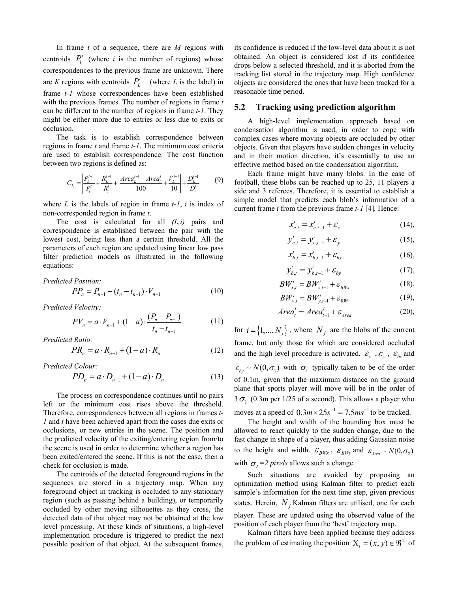In frame *t* of a sequence, there are *M* regions with centroids  $P_i^t$  (where *i* is the number of regions) whose correspondences to the previous frame are unknown. There are *K* regions with centroids  $P_L^{t-1}$  (where *L* is the label) in frame *t-1* whose correspondences have been established with the previous frames. The number of regions in frame *t*  can be different to the number of regions in frame *t-1*. They might be either more due to entries or less due to exits or occlusion.

The task is to establish correspondence between regions in frame *t* and frame *t-1*. The minimum cost criteria are used to establish correspondence. The cost function between two regions is defined as:

$$
C_{L_i} = \left| \frac{P_L^{t-1}}{P_i^t} + \frac{R_L^{t-1}}{R_i^t} + \left| \frac{Area_L^{t-1} - Area_i^t}{100} + \frac{V_L^{t-1}}{10} \right| + \frac{D_L^{t-1}}{D_i^t} \right| \tag{9}
$$

where  $L$  is the labels of region in frame  $t-1$ ,  $i$  is index of non-corresponded region in frame *t*.

The cost is calculated for all *(L,i)* pairs and correspondence is established between the pair with the lowest cost, being less than a certain threshold. All the parameters of each region are updated using linear low pass filter prediction models as illustrated in the following equations:

*Predicted Position:* 

$$
PP_n = P_{n-1} + (t_n - t_{n-1}) \cdot V_{n-1}
$$
 (10)

*Predicted Velocity:* 

$$
PV_n = a \cdot V_{n-1} + (1-a) \cdot \frac{(P_n - P_{n-1})}{t_n - t_{n-1}} \tag{11}
$$

*Predicted Ratio:* 

$$
PR_n = a \cdot R_{n-1} + (1 - a) \cdot R_n \tag{12}
$$

*Predicted Colour:* 

$$
PD_n = a \cdot D_{n-1} + (1 - a) \cdot D_n \tag{13}
$$

The process on correspondence continues until no pairs left or the minimum cost rises above the threshold. Therefore, correspondences between all regions in frames *t-1* and *t* have been achieved apart from the cases due exits or occlusions, or new entries in the scene. The position and the predicted velocity of the exiting/entering region from/to the scene is used in order to determine whether a region has been exited/entered the scene. If this is not the case, then a check for occlusion is made.

The centroids of the detected foreground regions in the sequences are stored in a trajectory map. When any foreground object in tracking is occluded to any stationary region (such as passing behind a building), or temporarily occluded by other moving silhouettes as they cross, the detected data of that object may not be obtained at the low level processing. At these kinds of situations, a high-level implementation procedure is triggered to predict the next possible position of that object. At the subsequent frames,

its confidence is reduced if the low-level data about it is not obtained. An object is considered lost if its confidence drops below a selected threshold, and it is aborted from the tracking list stored in the trajectory map. High confidence objects are considered the ones that have been tracked for a reasonable time period.

#### **5.2 Tracking using prediction algorithm**

A high-level implementation approach based on condensation algorithm is used, in order to cope with complex cases where moving objects are occluded by other objects. Given that players have sudden changes in velocity and in their motion direction, it's essentially to use an effective method based on the condensation algorithm.

Each frame might have many blobs. In the case of football, these blobs can be reached up to 25, 11 players a side and 3 referees. Therefore, it is essential to establish a simple model that predicts each blob's information of a current frame *t* from the previous frame *t-1* [4]*.* Hence:

$$
x_{c,t}^i = x_{c,t-1}^i + \varepsilon_x \tag{14}
$$

$$
y_{c,t}^i = y_{c,t-1}^i + \varepsilon_y
$$
 (15),

$$
x_{b,t}^i = x_{b,t-1}^i + \varepsilon_{bx}
$$
 (16),

$$
y_{b,t}^i = y_{b,t-1}^i + \varepsilon_{by}
$$
 (17),

$$
BW_{x,t}^i = BW_{x,t-1}^i + \varepsilon_{BWx} \tag{18},
$$

$$
BW_{y,t}^{i} = BW_{y,t-1}^{i} + \varepsilon_{BWy}
$$
 (19),

$$
Area_t^i = Area_{t-1}^i + \varepsilon_{Area}
$$
 (20),

for  $i = \{1, ..., N_j\}$ , where  $N_j$  are the blobs of the current frame, but only those for which are considered occluded and the high level procedure is activated.  $\varepsilon_x$ ,  $\varepsilon_y$ ,  $\varepsilon_{bx}$  and  $\epsilon_{bv} \sim N(0, \sigma_1)$  with  $\sigma_1$  typically taken to be of the order of 0.1m, given that the maximum distance on the ground plane that sports player will move will be in the order of  $3\sigma_1$  (0.3m per 1/25 of a second). This allows a player who moves at a speed of  $0.3 m \times 25 s^{-1} = 7.5 m s^{-1}$  to be tracked.

The height and width of the bounding box must be allowed to react quickly to the sudden change, due to the fast change in shape of a player, thus adding Gaussian noise to the height and width.  $\mathcal{E}_{BWx}$ ,  $\mathcal{E}_{BWy}$  and  $\mathcal{E}_{Area} \sim N(0, \sigma_2)$ with  $\sigma_2 = 2$  *pixels* allows such a change.

Such situations are avoided by proposing an optimization method using Kalman filter to predict each sample's information for the next time step, given previous states. Herein,  $N_i$  Kalman filters are utilised, one for each player. These are updated using the observed value of the position of each player from the 'best' trajectory map.

Kalman filters have been applied because they address the problem of estimating the position  $X_t = (x, y) \in \mathbb{R}^2$  of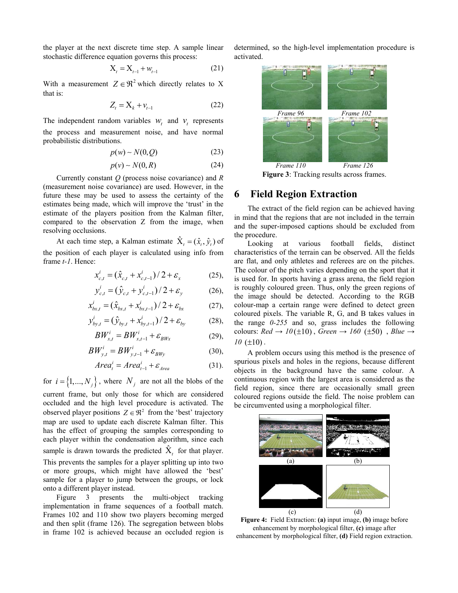the player at the next discrete time step. A sample linear stochastic difference equation governs this process:

$$
X_{t} = X_{t-1} + w_{t-1}
$$
 (21)

With a measurement  $Z \in \mathbb{R}^2$  which directly relates to X that is:

$$
Z_t = \mathbf{X}_k + \mathbf{v}_{t-1} \tag{22}
$$

The independent random variables  $w_t$  and  $v_t$  represents the process and measurement noise, and have normal probabilistic distributions.

$$
p(w) \sim N(0, Q) \tag{23}
$$

$$
p(v) \sim N(0, R) \tag{24}
$$

Currently constant *Q* (process noise covariance) and *R* (measurement noise covariance) are used. However, in the future these may be used to assess the certainty of the estimates being made, which will improve the 'trust' in the estimate of the players position from the Kalman filter, compared to the observation Z from the image, when resolving occlusions.

At each time step, a Kalman estimate  $\hat{X}_t = (\hat{x}_t, \hat{y}_t)$  of the position of each player is calculated using info from frame *t-1*. Hence:

$$
x_{c,t}^i = (\hat{x}_{c,t} + x_{c,t-1}^i)/2 + \varepsilon_x \tag{25}
$$

$$
y_{c,t}^{i} = (\hat{y}_{c,t} + y_{c,t-1}^{i})/2 + \varepsilon_{y}
$$
 (26),

$$
x_{bx,t}^i = (\hat{x}_{bx,t} + x_{bx,t-1}^i)/2 + \varepsilon_{bx}
$$
 (27),

$$
y_{by,t}^i = (\hat{y}_{by,t} + x_{by,t-1}^i)/2 + \varepsilon_{by}
$$
 (28),

$$
BW_{x,t}^i = BW_{x,t-1}^i + \varepsilon_{BWx}
$$
 (29),

$$
BW_{y,t}^{i} = BW_{y,t-1}^{i} + \varepsilon_{BWy}
$$
 (30),

$$
Area_t^i = Area_{t-1}^i + \varepsilon_{Area}
$$
 (31).

for  $i = \{1, ..., N_j\}$ , where  $N_j$  are not all the blobs of the current frame, but only those for which are considered occluded and the high level procedure is activated. The observed player positions  $Z \in \mathbb{R}^2$  from the 'best' trajectory map are used to update each discrete Kalman filter. This has the effect of grouping the samples corresponding to each player within the condensation algorithm, since each sample is drawn towards the predicted  $\hat{X}_t$  for that player. This prevents the samples for a player splitting up into two or more groups, which might have allowed the 'best' sample for a player to jump between the groups, or lock onto a different player instead.

Figure 3 presents the multi-object tracking implementation in frame sequences of a football match. Frames 102 and 110 show two players becoming merged and then split (frame 126). The segregation between blobs in frame 102 is achieved because an occluded region is determined, so the high-level implementation procedure is activated.



 *Frame 110 Frame 126*  **Figure 3**: Tracking results across frames.

# **6 Field Region Extraction**

The extract of the field region can be achieved having in mind that the regions that are not included in the terrain and the super-imposed captions should be excluded from the procedure.

Looking at various football fields, distinct characteristics of the terrain can be observed. All the fields are flat, and only athletes and referees are on the pitches. The colour of the pitch varies depending on the sport that it is used for. In sports having a grass arena, the field region is roughly coloured green. Thus, only the green regions of the image should be detected. According to the RGB colour-map a certain range were defined to detect green coloured pixels. The variable R, G, and B takes values in the range *0-255* and so, grass includes the following colours:  $Red \rightarrow 10(\pm 10)$ ,  $Green \rightarrow 160(\pm 50)$ ,  $Blue \rightarrow$  $10 \ (\pm 10)$ .

A problem occurs using this method is the presence of spurious pixels and holes in the regions, because different objects in the background have the same colour. A continuous region with the largest area is considered as the field region, since there are occasionally small green coloured regions outside the field. The noise problem can be circumvented using a morphological filter.



**Figure 4:** Field Extraction: **(a)** input image, **(b)** image before enhancement by morphological filter, **(c)** image after enhancement by morphological filter, **(d)** Field region extraction.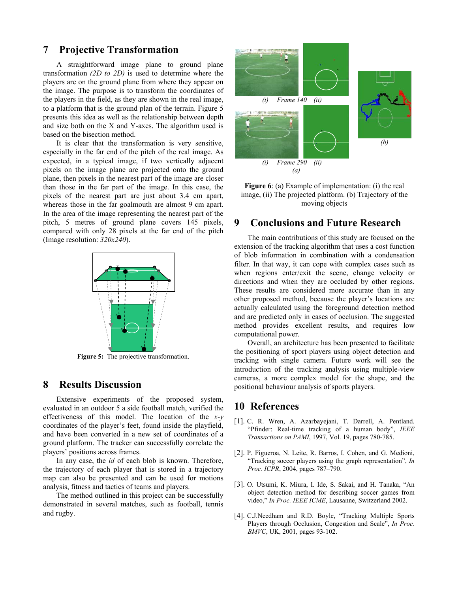### **7 Projective Transformation**

A straightforward image plane to ground plane transformation *(2D to 2D)* is used to determine where the players are on the ground plane from where they appear on the image. The purpose is to transform the coordinates of the players in the field, as they are shown in the real image, to a platform that is the ground plan of the terrain. Figure 5 presents this idea as well as the relationship between depth and size both on the X and Y-axes. The algorithm used is based on the bisection method.

It is clear that the transformation is very sensitive, especially in the far end of the pitch of the real image. As expected, in a typical image, if two vertically adjacent pixels on the image plane are projected onto the ground plane, then pixels in the nearest part of the image are closer than those in the far part of the image. In this case, the pixels of the nearest part are just about 3.4 cm apart, whereas those in the far goalmouth are almost 9 cm apart. In the area of the image representing the nearest part of the pitch, 5 metres of ground plane covers 145 pixels, compared with only 28 pixels at the far end of the pitch (Image resolution: *320x240*).



**Figure 5:** The projective transformation.

# **8 Results Discussion**

Extensive experiments of the proposed system, evaluated in an outdoor 5 a side football match, verified the effectiveness of this model. The location of the *x-y* coordinates of the player's feet, found inside the playfield, and have been converted in a new set of coordinates of a ground platform. The tracker can successfully correlate the players' positions across frames.

In any case, the *id* of each blob is known. Therefore, the trajectory of each player that is stored in a trajectory map can also be presented and can be used for motions analysis, fitness and tactics of teams and players.

The method outlined in this project can be successfully demonstrated in several matches, such as football, tennis and rugby.



**Figure 6**: (a) Example of implementation: (i) the real image, (ii) The projected platform. (b) Trajectory of the moving objects

#### **9 Conclusions and Future Research**

The main contributions of this study are focused on the extension of the tracking algorithm that uses a cost function of blob information in combination with a condensation filter. In that way, it can cope with complex cases such as when regions enter/exit the scene, change velocity or directions and when they are occluded by other regions. These results are considered more accurate than in any other proposed method, because the player's locations are actually calculated using the foreground detection method and are predicted only in cases of occlusion. The suggested method provides excellent results, and requires low computational power.

Overall, an architecture has been presented to facilitate the positioning of sport players using object detection and tracking with single camera. Future work will see the introduction of the tracking analysis using multiple-view cameras, a more complex model for the shape, and the positional behaviour analysis of sports players.

# **10 References**

- [1]. C. R. Wren, A. Azarbayejani, T. Darrell, A. Pentland. "Pfinder: Real-time tracking of a human body", *IEEE Transactions on PAMI*, 1997, Vol. 19, pages 780-785.
- [2]. P. Figueroa, N. Leite, R. Barros, I. Cohen, and G. Medioni, "Tracking soccer players using the graph representation", *In Proc. ICPR*, 2004, pages 787–790.
- [3]. O. Utsumi, K. Miura, I. Ide, S. Sakai, and H. Tanaka, "An object detection method for describing soccer games from video," *In Proc. IEEE ICME*, Lausanne, Switzerland 2002.
- [4]. C.J.Needham and R.D. Boyle, "Tracking Multiple Sports Players through Occlusion, Congestion and Scale", *In Proc. BMVC*, UK, 2001, pages 93-102.